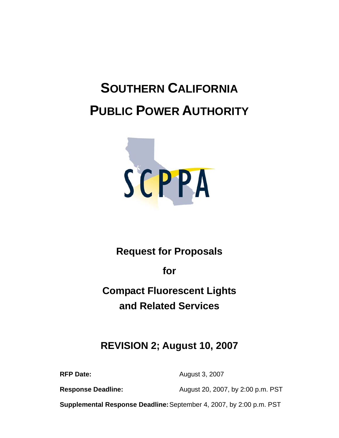# **SOUTHERN CALIFORNIA PUBLIC POWER AUTHORITY**



# **Request for Proposals**

**for** 

**Compact Fluorescent Lights and Related Services** 

# **REVISION 2; August 10, 2007**

**RFP Date:** August 3, 2007

**Response Deadline:** August 20, 2007, by 2:00 p.m. PST

**Supplemental Response Deadline:** September 4, 2007, by 2:00 p.m. PST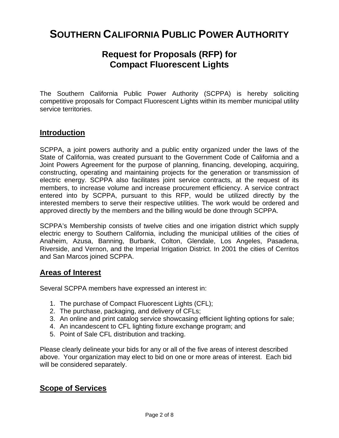# **SOUTHERN CALIFORNIA PUBLIC POWER AUTHORITY**

# **Request for Proposals (RFP) for Compact Fluorescent Lights**

The Southern California Public Power Authority (SCPPA) is hereby soliciting competitive proposals for Compact Fluorescent Lights within its member municipal utility service territories.

## **Introduction**

SCPPA, a joint powers authority and a public entity organized under the laws of the State of California, was created pursuant to the Government Code of California and a Joint Powers Agreement for the purpose of planning, financing, developing, acquiring, constructing, operating and maintaining projects for the generation or transmission of electric energy. SCPPA also facilitates joint service contracts, at the request of its members, to increase volume and increase procurement efficiency. A service contract entered into by SCPPA, pursuant to this RFP, would be utilized directly by the interested members to serve their respective utilities. The work would be ordered and approved directly by the members and the billing would be done through SCPPA.

SCPPA's Membership consists of twelve cities and one irrigation district which supply electric energy to Southern California, including the municipal utilities of the cities of Anaheim, Azusa, Banning, Burbank, Colton, Glendale, Los Angeles, Pasadena, Riverside, and Vernon, and the Imperial Irrigation District. In 2001 the cities of Cerritos and San Marcos joined SCPPA.

## **Areas of Interest**

Several SCPPA members have expressed an interest in:

- 1. The purchase of Compact Fluorescent Lights (CFL);
- 2. The purchase, packaging, and delivery of CFLs;
- 3. An online and print catalog service showcasing efficient lighting options for sale;
- 4. An incandescent to CFL lighting fixture exchange program; and
- 5. Point of Sale CFL distribution and tracking.

Please clearly delineate your bids for any or all of the five areas of interest described above. Your organization may elect to bid on one or more areas of interest. Each bid will be considered separately.

## **Scope of Services**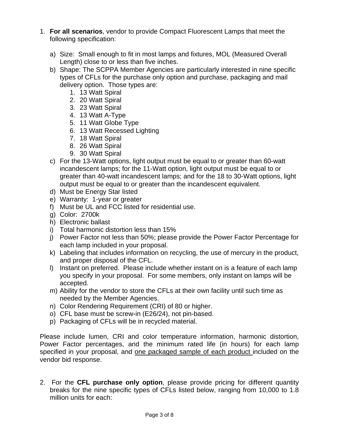- 1. **For all scenarios**, vendor to provide Compact Fluorescent Lamps that meet the following specification:
	- a) Size: Small enough to fit in most lamps and fixtures, MOL (Measured Overall Length) close to or less than five inches.
	- b) Shape: The SCPPA Member Agencies are particularly interested in nine specific types of CFLs for the purchase only option and purchase, packaging and mail delivery option. Those types are:
		- 1. 13 Watt Spiral
		- 2. 20 Watt Spiral
		- 3. 23 Watt Spiral
		- 4. 13 Watt A-Type
		- 5. 11 Watt Globe Type
		- 6. 13 Watt Recessed Lighting
		- 7. 18 Watt Spiral
		- 8. 26 Watt Spiral
		- 9. 30 Watt Spiral
	- c) For the 13-Watt options, light output must be equal to or greater than 60-watt incandescent lamps; for the 11-Watt option, light output must be equal to or greater than 40-watt incandescent lamps; and for the 18 to 30-Watt options, light output must be equal to or greater than the incandescent equivalent.
	- d) Must be Energy Star listed
	- e) Warranty: 1-year or greater
	- f) Must be UL and FCC listed for residential use.
	- g) Color: 2700k
	- h) Electronic ballast
	- i) Total harmonic distortion less than 15%
	- j) Power Factor not less than 50%; please provide the Power Factor Percentage for each lamp included in your proposal.
	- k) Labeling that includes information on recycling, the use of mercury in the product, and proper disposal of the CFL.
	- l) Instant on preferred. Please include whether instant on is a feature of each lamp you specify in your proposal. For some members, only instant on lamps will be accepted.
	- m) Ability for the vendor to store the CFLs at their own facility until such time as needed by the Member Agencies.
	- n) Color Rendering Requirement (CRI) of 80 or higher.
	- o) CFL base must be screw-in (E26/24), not pin-based.
	- p) Packaging of CFLs will be in recycled material.

Please include lumen, CRI and color temperature information, harmonic distortion, Power Factor percentages, and the minimum rated life (in hours) for each lamp specified in your proposal, and one packaged sample of each product included on the vendor bid response.

2. For the **CFL purchase only option**, please provide pricing for different quantity breaks for the nine specific types of CFLs listed below, ranging from 10,000 to 1.8 million units for each: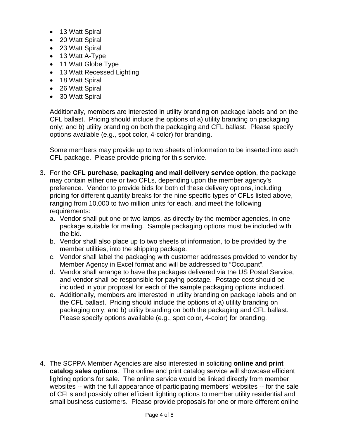- 13 Watt Spiral
- 20 Watt Spiral
- 23 Watt Spiral
- 13 Watt A-Type
- 11 Watt Globe Type
- 13 Watt Recessed Lighting
- 18 Watt Spiral
- 26 Watt Spiral
- 30 Watt Spiral

Additionally, members are interested in utility branding on package labels and on the CFL ballast. Pricing should include the options of a) utility branding on packaging only; and b) utility branding on both the packaging and CFL ballast. Please specify options available (e.g., spot color, 4-color) for branding.

Some members may provide up to two sheets of information to be inserted into each CFL package. Please provide pricing for this service.

- 3. For the **CFL purchase, packaging and mail delivery service option**, the package may contain either one or two CFLs, depending upon the member agency's preference. Vendor to provide bids for both of these delivery options, including pricing for different quantity breaks for the nine specific types of CFLs listed above, ranging from 10,000 to two million units for each, and meet the following requirements:
	- a. Vendor shall put one or two lamps, as directly by the member agencies, in one package suitable for mailing. Sample packaging options must be included with the bid.
	- b. Vendor shall also place up to two sheets of information, to be provided by the member utilities, into the shipping package.
	- c. Vendor shall label the packaging with customer addresses provided to vendor by Member Agency in Excel format and will be addressed to "Occupant".
	- d. Vendor shall arrange to have the packages delivered via the US Postal Service, and vendor shall be responsible for paying postage. Postage cost should be included in your proposal for each of the sample packaging options included.
	- e. Additionally, members are interested in utility branding on package labels and on the CFL ballast. Pricing should include the options of a) utility branding on packaging only; and b) utility branding on both the packaging and CFL ballast. Please specify options available (e.g., spot color, 4-color) for branding.
- 4. The SCPPA Member Agencies are also interested in soliciting **online and print catalog sales options**. The online and print catalog service will showcase efficient lighting options for sale. The online service would be linked directly from member websites -- with the full appearance of participating members' websites -- for the sale of CFLs and possibly other efficient lighting options to member utility residential and small business customers. Please provide proposals for one or more different online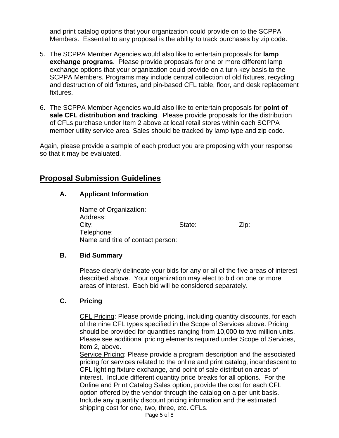and print catalog options that your organization could provide on to the SCPPA Members. Essential to any proposal is the ability to track purchases by zip code.

- 5. The SCPPA Member Agencies would also like to entertain proposals for **lamp exchange programs**. Please provide proposals for one or more different lamp exchange options that your organization could provide on a turn-key basis to the SCPPA Members. Programs may include central collection of old fixtures, recycling and destruction of old fixtures, and pin-based CFL table, floor, and desk replacement fixtures.
- 6. The SCPPA Member Agencies would also like to entertain proposals for **point of sale CFL distribution and tracking**. Please provide proposals for the distribution of CFLs purchase under Item 2 above at local retail stores within each SCPPA member utility service area. Sales should be tracked by lamp type and zip code.

Again, please provide a sample of each product you are proposing with your response so that it may be evaluated.

# **Proposal Submission Guidelines**

#### **A. Applicant Information**

 Name of Organization: Address: City: City: City: City: City: City: City: City: City: City: City: City: City: City: City: City: City: City: City: City: City: City: City: City: City: City: City: City: City: City: City: City: City: City: City: City: City: Telephone: Name and title of contact person:

#### **B. Bid Summary**

 Please clearly delineate your bids for any or all of the five areas of interest described above. Your organization may elect to bid on one or more areas of interest. Each bid will be considered separately.

#### **C. Pricing**

CFL Pricing: Please provide pricing, including quantity discounts, for each of the nine CFL types specified in the Scope of Services above. Pricing should be provided for quantities ranging from 10,000 to two million units. Please see additional pricing elements required under Scope of Services, item 2, above.

Service Pricing: Please provide a program description and the associated pricing for services related to the online and print catalog, incandescent to CFL lighting fixture exchange, and point of sale distribution areas of interest. Include different quantity price breaks for all options. For the Online and Print Catalog Sales option, provide the cost for each CFL option offered by the vendor through the catalog on a per unit basis. Include any quantity discount pricing information and the estimated shipping cost for one, two, three, etc. CFLs.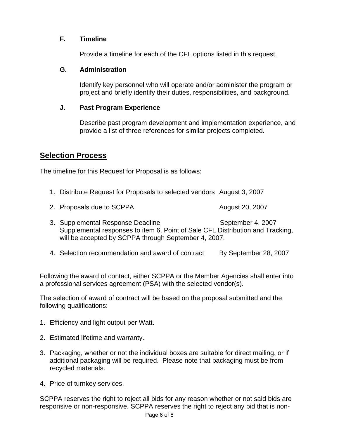#### **F. Timeline**

Provide a timeline for each of the CFL options listed in this request.

#### **G. Administration**

Identify key personnel who will operate and/or administer the program or project and briefly identify their duties, responsibilities, and background.

#### **J. Past Program Experience**

Describe past program development and implementation experience, and provide a list of three references for similar projects completed.

# **Selection Process**

The timeline for this Request for Proposal is as follows:

- 1. Distribute Request for Proposals to selected vendors August 3, 2007
- 2. Proposals due to SCPPA 2000 and 20, 2007
- 3. Supplemental Response Deadline September 4, 2007 Supplemental responses to item 6, Point of Sale CFL Distribution and Tracking, will be accepted by SCPPA through September 4, 2007.
- 4. Selection recommendation and award of contract By September 28, 2007

Following the award of contact, either SCPPA or the Member Agencies shall enter into a professional services agreement (PSA) with the selected vendor(s).

The selection of award of contract will be based on the proposal submitted and the following qualifications:

- 1. Efficiency and light output per Watt.
- 2. Estimated lifetime and warranty.
- 3. Packaging, whether or not the individual boxes are suitable for direct mailing, or if additional packaging will be required. Please note that packaging must be from recycled materials.
- 4. Price of turnkey services.

SCPPA reserves the right to reject all bids for any reason whether or not said bids are responsive or non-responsive. SCPPA reserves the right to reject any bid that is non-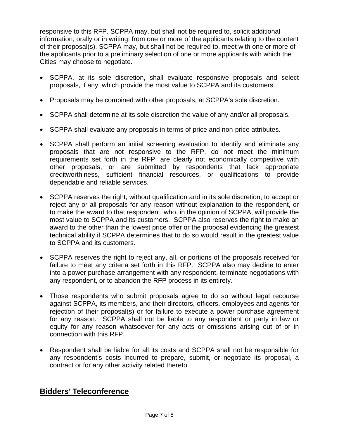responsive to this RFP. SCPPA may, but shall not be required to, solicit additional information, orally or in writing, from one or more of the applicants relating to the content of their proposal(s). SCPPA may, but shall not be required to, meet with one or more of the applicants prior to a preliminary selection of one or more applicants with which the Cities may choose to negotiate.

- SCPPA, at its sole discretion, shall evaluate responsive proposals and select proposals, if any, which provide the most value to SCPPA and its customers.
- Proposals may be combined with other proposals, at SCPPA's sole discretion.
- SCPPA shall determine at its sole discretion the value of any and/or all proposals.
- SCPPA shall evaluate any proposals in terms of price and non-price attributes.
- SCPPA shall perform an initial screening evaluation to identify and eliminate any proposals that are not responsive to the RFP, do not meet the minimum requirements set forth in the RFP, are clearly not economically competitive with other proposals, or are submitted by respondents that lack appropriate creditworthiness, sufficient financial resources, or qualifications to provide dependable and reliable services.
- SCPPA reserves the right, without qualification and in its sole discretion, to accept or reject any or all proposals for any reason without explanation to the respondent, or to make the award to that respondent, who, in the opinion of SCPPA, will provide the most value to SCPPA and its customers. SCPPA also reserves the right to make an award to the other than the lowest price offer or the proposal evidencing the greatest technical ability if SCPPA determines that to do so would result in the greatest value to SCPPA and its customers.
- SCPPA reserves the right to reject any, all, or portions of the proposals received for failure to meet any criteria set forth in this RFP. SCPPA also may decline to enter into a power purchase arrangement with any respondent, terminate negotiations with any respondent, or to abandon the RFP process in its entirety.
- Those respondents who submit proposals agree to do so without legal recourse against SCPPA, its members, and their directors, officers, employees and agents for rejection of their proposal(s) or for failure to execute a power purchase agreement for any reason. SCPPA shall not be liable to any respondent or party in law or equity for any reason whatsoever for any acts or omissions arising out of or in connection with this RFP.
- Respondent shall be liable for all its costs and SCPPA shall not be responsible for any respondent's costs incurred to prepare, submit, or negotiate its proposal, a contract or for any other activity related thereto.

# **Bidders' Teleconference**